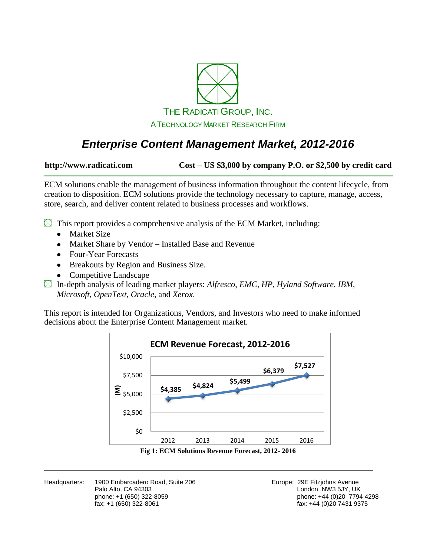

# *Enterprise Content Management Market, 2012-2016*

**http://www.radicati.com Cost – US \$3,000 by company P.O. or \$2,500 by credit card**

ECM solutions enable the management of business information throughout the content lifecycle, from creation to disposition. ECM solutions provide the technology necessary to capture, manage, access, store, search, and deliver content related to business processes and workflows.

 $\mathbb{B}$  This report provides a comprehensive analysis of the ECM Market, including:

- Market Size
- Market Share by Vendor Installed Base and Revenue
- Four-Year Forecasts
- Breakouts by Region and Business Size.  $\bullet$
- Competitive Landscape  $\bullet$
- In-depth analysis of leading market players: *Alfresco*, *EMC*, *HP*, *Hyland Software*, *IBM*, *Microsoft*, *OpenText*, *Oracle*, and *Xerox*.

This report is intended for Organizations, Vendors, and Investors who need to make informed decisions about the Enterprise Content Management market.



Headquarters: 1900 Embarcadero Road, Suite 206 **Europe: 29 Europe: 29E Fitzjohns Avenue** Palo Alto, CA 94303<br>
phone: +1 (650) 322-8059<br>
phone: +44 (0)20 7794

phone: +1 (650) 322-8059<br>
fax: +1 (650) 322-8061 phone: +44 (0)20 7794 4298<br>
fax: +44 (0)20 7431 9375  $fax: +44 (0)20 7431 9375$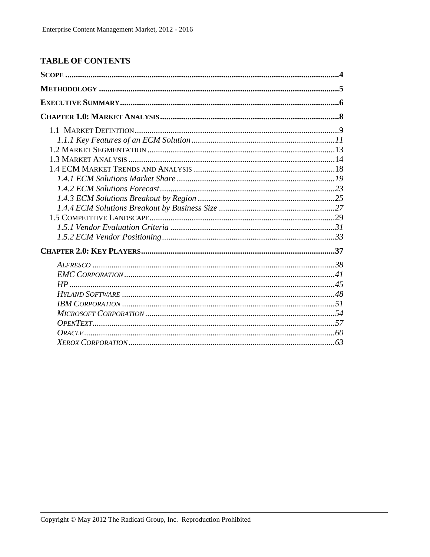## **TABLE OF CONTENTS**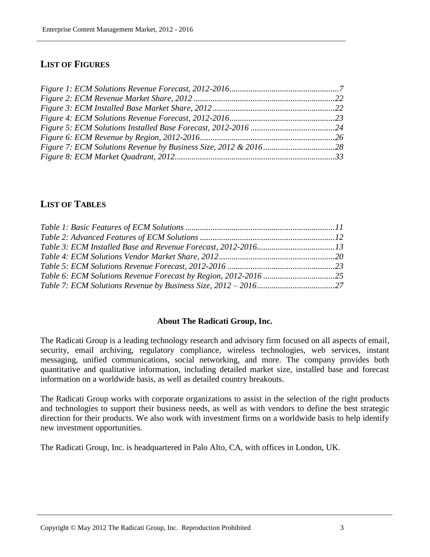## **LIST OF FIGURES**

## **LIST OF TABLES**

#### **About The Radicati Group, Inc.**

The Radicati Group is a leading technology research and advisory firm focused on all aspects of email, security, email archiving, regulatory compliance, wireless technologies, web services, instant messaging, unified communications, social networking, and more. The company provides both quantitative and qualitative information, including detailed market size, installed base and forecast information on a worldwide basis, as well as detailed country breakouts.

The Radicati Group works with corporate organizations to assist in the selection of the right products and technologies to support their business needs, as well as with vendors to define the best strategic direction for their products. We also work with investment firms on a worldwide basis to help identify new investment opportunities.

The Radicati Group, Inc. is headquartered in Palo Alto, CA, with offices in London, UK.